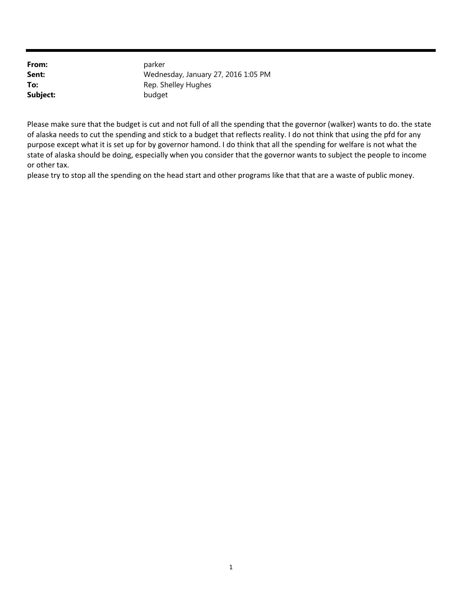| From:    | parker                              |
|----------|-------------------------------------|
| Sent:    | Wednesday, January 27, 2016 1:05 PM |
| To:      | Rep. Shelley Hughes                 |
| Subject: | budget                              |

Please make sure that the budget is cut and not full of all the spending that the governor (walker) wants to do. the state of alaska needs to cut the spending and stick to a budget that reflects reality. I do not think that using the pfd for any purpose except what it is set up for by governor hamond. I do think that all the spending for welfare is not what the state of alaska should be doing, especially when you consider that the governor wants to subject the people to income or other tax.

please try to stop all the spending on the head start and other programs like that that are a waste of public money.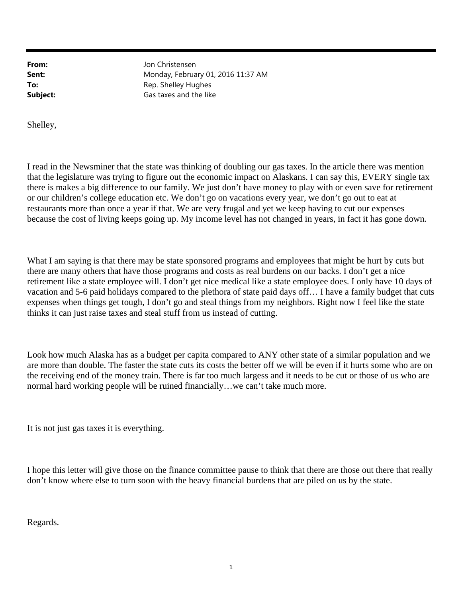Jon Christensen Monday, February 01, 2016 11:37 AM Rep. Shelley Hughes Gas taxes and the like

Shelley,

I read in the Newsminer that the state was thinking of doubling our gas taxes. In the article there was mention that the legislature was trying to figure out the economic impact on Alaskans. I can say this, EVERY single tax there is makes a big difference to our family. We just don't have money to play with or even save for retirement or our children's college education etc. We don't go on vacations every year, we don't go out to eat at restaurants more than once a year if that. We are very frugal and yet we keep having to cut our expenses because the cost of living keeps going up. My income level has not changed in years, in fact it has gone down.

What I am saying is that there may be state sponsored programs and employees that might be hurt by cuts but there are many others that have those programs and costs as real burdens on our backs. I don't get a nice retirement like a state employee will. I don't get nice medical like a state employee does. I only have 10 days of vacation and 5-6 paid holidays compared to the plethora of state paid days off… I have a family budget that cuts expenses when things get tough, I don't go and steal things from my neighbors. Right now I feel like the state thinks it can just raise taxes and steal stuff from us instead of cutting.

Look how much Alaska has as a budget per capita compared to ANY other state of a similar population and we are more than double. The faster the state cuts its costs the better off we will be even if it hurts some who are on the receiving end of the money train. There is far too much largess and it needs to be cut or those of us who are normal hard working people will be ruined financially…we can't take much more.

It is not just gas taxes it is everything.

I hope this letter will give those on the finance committee pause to think that there are those out there that really don't know where else to turn soon with the heavy financial burdens that are piled on us by the state.

Regards.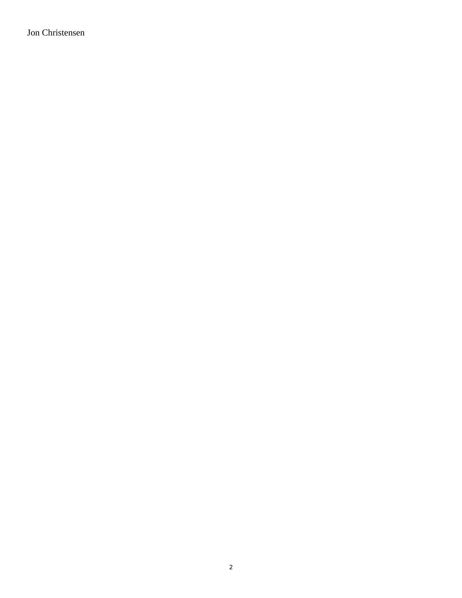Jon Christensen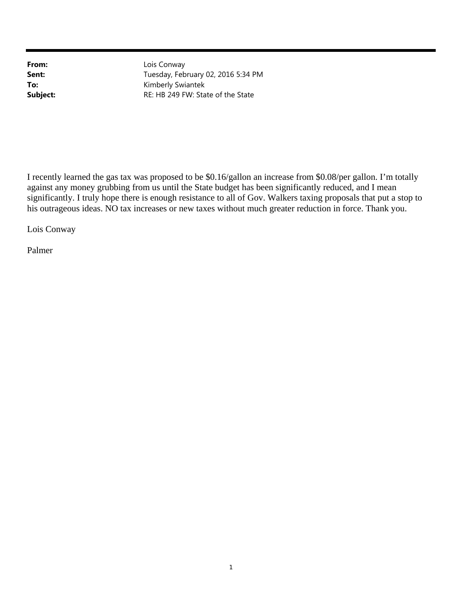Lois Conway Tuesday, February 02, 2016 5:34 PM Kimberly Swiantek RE: HB 249 FW: State of the State

I recently learned the gas tax was proposed to be \$0.16/gallon an increase from \$0.08/per gallon. I'm totally against any money grubbing from us until the State budget has been significantly reduced, and I mean significantly. I truly hope there is enough resistance to all of Gov. Walkers taxing proposals that put a stop to his outrageous ideas. NO tax increases or new taxes without much greater reduction in force. Thank you.

Lois Conway

Palmer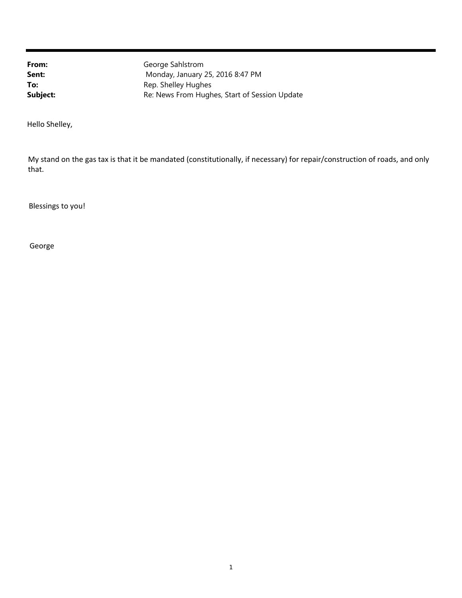George Sahlstrom Monday, January 25, 2016 8:47 PM Rep. Shelley Hughes Re: News From Hughes, Start of Session Update

Hello Shelley,

My stand on the gas tax is that it be mandated (constitutionally, if necessary) for repair/construction of roads, and only that.

Blessings to you!

George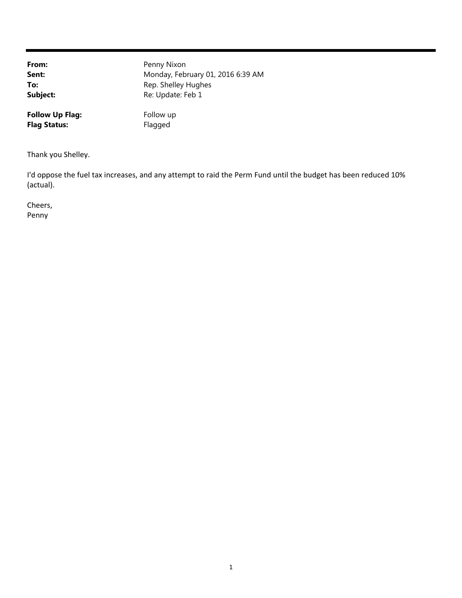Penny Nixon Monday, February 01, 2016 6:39 AM Rep. Shelley Hughes Re: Update: Feb 1

**Follow Up Flag:** Follow up Flag Status: Flagged

Thank you Shelley.

I'd oppose the fuel tax increases, and any attempt to raid the Perm Fund until the budget has been reduced 10% (actual).

Cheers, Penny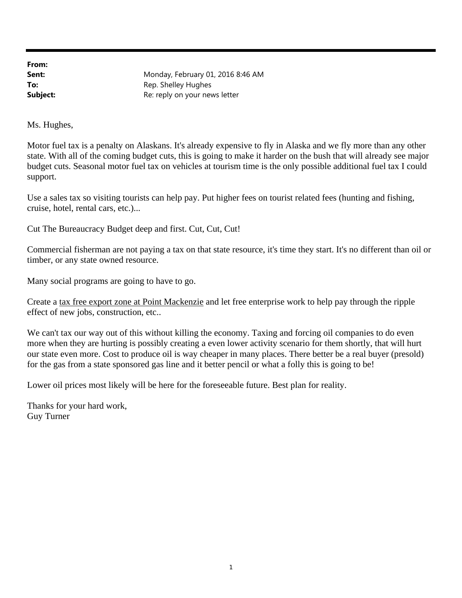Monday, February 01, 2016 8:46 AM Rep. Shelley Hughes Re: reply on your news letter

Ms. Hughes,

Motor fuel tax is a penalty on Alaskans. It's already expensive to fly in Alaska and we fly more than any other state. With all of the coming budget cuts, this is going to make it harder on the bush that will already see major budget cuts. Seasonal motor fuel tax on vehicles at tourism time is the only possible additional fuel tax I could support.

Use a sales tax so visiting tourists can help pay. Put higher fees on tourist related fees (hunting and fishing, cruise, hotel, rental cars, etc.)...

Cut The Bureaucracy Budget deep and first. Cut, Cut, Cut!

Commercial fisherman are not paying a tax on that state resource, it's time they start. It's no different than oil or timber, or any state owned resource.

Many social programs are going to have to go.

Create a tax free export zone at Point Mackenzie and let free enterprise work to help pay through the ripple effect of new jobs, construction, etc..

We can't tax our way out of this without killing the economy. Taxing and forcing oil companies to do even more when they are hurting is possibly creating a even lower activity scenario for them shortly, that will hurt our state even more. Cost to produce oil is way cheaper in many places. There better be a real buyer (presold) for the gas from a state sponsored gas line and it better pencil or what a folly this is going to be!

Lower oil prices most likely will be here for the foreseeable future. Best plan for reality.

Thanks for your hard work, Guy Turner